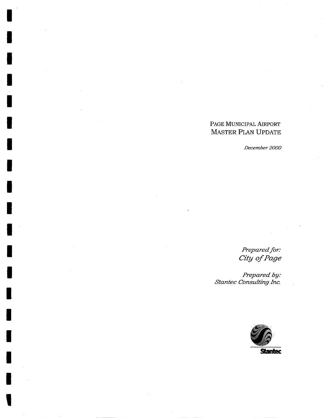# PAGE MUNICIPAL AIRPORT MASTER PLAN UPDATE

December 2000

Prepared for:<br>City of Page

:Prepared by<br>.Stantec Consulting Inc

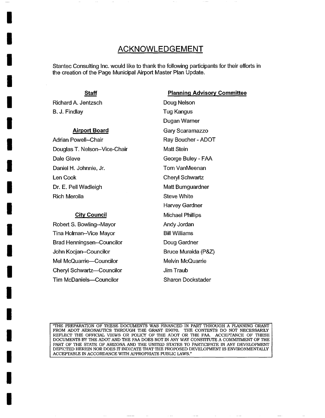# **ACKNOWLEDGEMENT**

Stantec Consulting Inc. would like to thank the following participants for their efforts in the creation of the Page Municipal Airport Master Plan Update.

#### **Staff**

Richard A. Jentzsch B. J. Findlay

**I** 

**I** 

**I** 

**I** 

**I** 

**I** 

**I** 

**I** 

**I** 

**I** 

**I** 

**I** 

**I** 

**I** 

**I** 

**I** 

**I** 

**I** 

**i** 

#### **Airport Board**

Adrian Powell--Chair Douglas T. Nelson--Vice-Chair Dale Gleve Daniel H. Johnnie, Jr. Len Cook Dr. E. Pell Wadleigh Rich Merolla

#### **City Council**

Robert S. Bowling--Mayor Tina Holman--Vice Mayor Brad Henningsen--Councilor John Kocjan--Councilor Mel McQuarrie-Councilor Cheryl Schwartz--Councilor Tim McDaniels~Councilor

**Planning Advisory Committee**  Doug Nelson Tug Kangus Dugan Warner Gary Scaramazzo Ray Boucher - ADOT Matt Stein George Buley - FAA **Tom VanMeenan** Cheryl Schwartz Matt Bumguardner Steve White Harvey Gardner Michael Phillips Andy Jordan Bill Williams Doug Gardner Bruce Muraida (P&Z) Melvin McQuarrie Jim Traub Sharon Dockstader

"THE PREPARATION OF THESE DOCUMENTS WAS FINANCED IN PART THROUGH A PLANNING GRANT FROM ADOT AERONAUTICS THROUGH THE GRANT E9070. THE CONTENTS DO NOT NECESSARILY REFLECT THE OFFICIAL VIEWS OR POLICY OF THE ADOT OR THE FAA. ACCEPTANCE OF THESE DOCUMENTS BY THE ADOT AND THE FAA DOES NOT IN ANY WAY CONSTITUTE A COMMITMENT OF THE PART OF THE STATE OF ARIZONA AND THE UNITED STATES TO PARTICIPATE IN ANY DEVELOPMENT DEPICTED HEREIN NOR DOES IT INDICATE THAT THE PROPOSED DEVELOPMENT IS ENVIRONMENTALLY ACCEPTABLE IN ACCORDANCE WITH APPROPRIATE PUBLIC LAWS."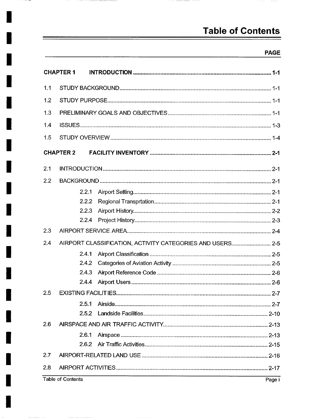# **Table of Contents**

### PAGE

 $\cdots \cdots \cdots$ 

|     | <b>CHAPTER 1</b>  |                                                           |  |  |
|-----|-------------------|-----------------------------------------------------------|--|--|
| 1.1 |                   |                                                           |  |  |
| 1.2 |                   |                                                           |  |  |
| 1.3 |                   |                                                           |  |  |
| 1.4 |                   |                                                           |  |  |
| 1.5 |                   |                                                           |  |  |
|     | <b>CHAPTER 2</b>  |                                                           |  |  |
| 2.1 |                   |                                                           |  |  |
| 2.2 |                   |                                                           |  |  |
|     | 2.2.1             |                                                           |  |  |
|     | 2.2.2             |                                                           |  |  |
|     | 2.2.3             |                                                           |  |  |
|     | 2.2.4             |                                                           |  |  |
| 2.3 |                   |                                                           |  |  |
| 2.4 |                   | AIRPORT CLASSIFICATION, ACTIVITY CATEGORIES AND USERS 2-5 |  |  |
|     | 2.4.1             |                                                           |  |  |
|     | 2.4.2             |                                                           |  |  |
|     | 2.4.3             |                                                           |  |  |
|     | 2.4.4             |                                                           |  |  |
| 2.5 |                   |                                                           |  |  |
|     |                   | $2 - 7$                                                   |  |  |
|     |                   |                                                           |  |  |
| 2.6 |                   |                                                           |  |  |
|     | 2.6.1             |                                                           |  |  |
|     |                   |                                                           |  |  |
| 2.7 |                   |                                                           |  |  |
| 2.8 |                   |                                                           |  |  |
|     | Table of Contante | $D = 1$                                                   |  |  |

Table of Contents

÷

 $\overline{\phantom{a}}$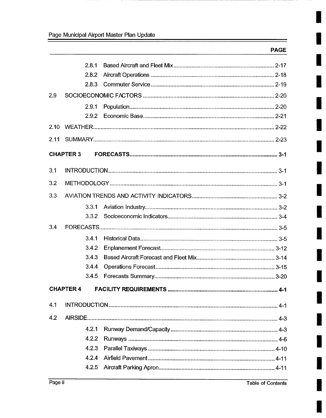|      | 2.8.1            |  |  |
|------|------------------|--|--|
|      | 2.8.2            |  |  |
|      | 2.8.3            |  |  |
| 2.9  |                  |  |  |
|      | 2.9.1            |  |  |
|      | 2.9.2            |  |  |
| 2.10 |                  |  |  |
| 2.11 |                  |  |  |
|      | <b>CHAPTER 3</b> |  |  |
| 3.1  |                  |  |  |
| 3.2  |                  |  |  |
| 3.3  |                  |  |  |
|      | 3.3.1            |  |  |
|      | 3.3.2            |  |  |
| 3.4  |                  |  |  |
|      | 3.4.1            |  |  |
|      | 3.4.2            |  |  |
|      | 3.4.3            |  |  |
|      | 3.4.4            |  |  |
|      | 3.4.5            |  |  |
|      | <b>CHAPTER 4</b> |  |  |
| 4.1  |                  |  |  |
| 4.2  |                  |  |  |
|      | 4.2.1            |  |  |
|      | 4.2.2            |  |  |
|      | 4.2.3            |  |  |
|      | 4.2.4            |  |  |
|      | 4.2.5            |  |  |
|      |                  |  |  |

ı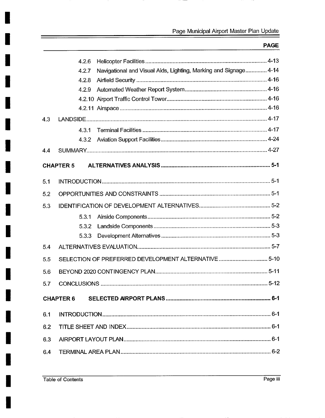|     | 4.2.6                                                                     |
|-----|---------------------------------------------------------------------------|
|     | Navigational and Visual Aids, Lighting, Marking and Signage 4-14<br>4.2.7 |
|     | 4.2.8                                                                     |
|     | 4.2.9                                                                     |
|     |                                                                           |
|     |                                                                           |
| 4.3 |                                                                           |
|     | 4.3.1                                                                     |
|     | 4.3.2                                                                     |
| 4.4 |                                                                           |
|     | <b>CHAPTER 5</b>                                                          |
|     |                                                                           |
| 5.1 |                                                                           |
| 5.2 |                                                                           |
| 5.3 |                                                                           |
|     | 5.3.1                                                                     |
|     | 5.3.2                                                                     |
|     | 5.3.3                                                                     |
| 5.4 |                                                                           |
| 5.5 | SELECTION OF PREFERRED DEVELOPMENT ALTERNATIVE  5-10                      |
| 5.6 |                                                                           |
| 5.7 |                                                                           |
|     |                                                                           |
|     |                                                                           |
| 6.1 |                                                                           |
| 6.2 |                                                                           |
| 6.3 |                                                                           |
| 6.4 |                                                                           |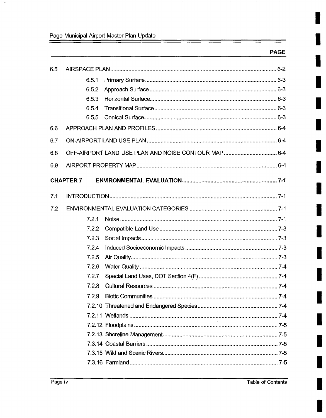| 6.5 |                  |  |
|-----|------------------|--|
|     | 6.5.1            |  |
|     | 6.5.2            |  |
|     | 6.5.3            |  |
|     | 6.5.4            |  |
|     | 6.5.5            |  |
| 6.6 |                  |  |
| 6.7 |                  |  |
| 6.8 |                  |  |
| 6.9 |                  |  |
|     | <b>CHAPTER 7</b> |  |
| 7.1 |                  |  |
| 7.2 |                  |  |
|     | 7.2.1            |  |
|     | 7.2.2            |  |
|     | 7.2.3            |  |
|     | 7.2.4            |  |
|     | 7.2.5            |  |
|     | 7.2.6            |  |
|     | 7.2.7            |  |
|     | 7.2.8            |  |
|     | 7.2.9            |  |
|     |                  |  |
|     |                  |  |
|     |                  |  |
|     |                  |  |
|     |                  |  |
|     |                  |  |
|     |                  |  |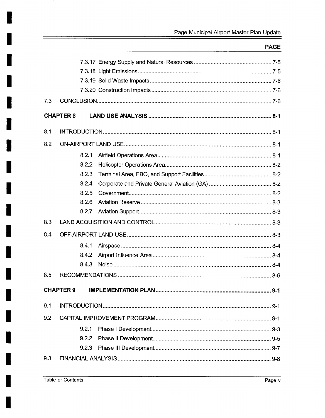$\sim$ 

 $\sim$  -  $\sim$ 

 $\mathcal{A}^{\mathcal{A}}$  , where  $\mathcal{A}^{\mathcal{A}}$ 

| 7.3 |                  |         |
|-----|------------------|---------|
|     | <b>CHAPTER 8</b> |         |
| 8.1 |                  |         |
|     |                  |         |
| 8.2 |                  |         |
|     | 8.2.1            |         |
|     | 8.2.2            |         |
|     | 8.2.3            |         |
|     | 8.2.4            |         |
|     | 8.2.5            |         |
|     | 8.2.6            |         |
|     | 8.2.7            |         |
| 8.3 |                  |         |
| 8.4 |                  |         |
|     | 8.4.1            |         |
|     | 8.4.2            |         |
|     | 8.4.3            |         |
| 8.5 |                  |         |
|     | <b>CHAPTER 9</b> | $9 - 1$ |
| 9.1 |                  |         |
| 9.2 |                  |         |
|     | 9.2.1            |         |
|     | 9.2.2            |         |
|     | 9.2.3            |         |
| 9.3 |                  |         |
|     |                  |         |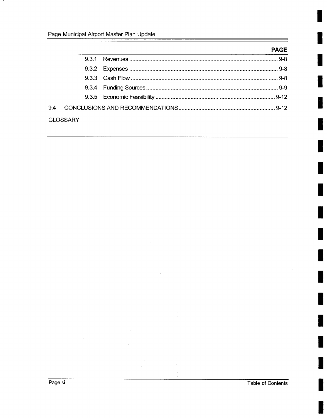| <b>GLOSSARY</b> |  |
|-----------------|--|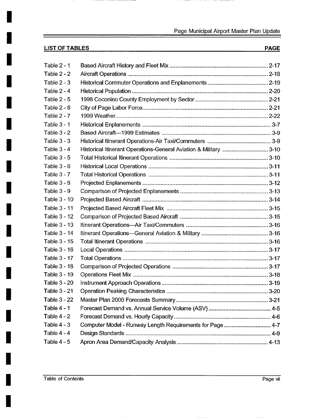$\overline{\phantom{a}}$ 

# LIST OF TABLES PAGE

**I** 

**I** 

**I** 

**I** 

**I** 

**I** 

**I** 

**I** 

**I** 

**I** 

**I** 

**I** 

**I** 

**I** 

**I** 

**I** 

**I** 

**I** 

**I** 

| Table $2 - 1$       |                                                                  |  |
|---------------------|------------------------------------------------------------------|--|
| Table $2 - 2$       |                                                                  |  |
| Table $2 - 3$       |                                                                  |  |
| Table $2 - 4$       |                                                                  |  |
| <b>Table 2 - 5</b>  |                                                                  |  |
| Table 2 - 6         |                                                                  |  |
| Table $2 - 7$       |                                                                  |  |
| Table 3 - 1         |                                                                  |  |
| Table $3 - 2$       |                                                                  |  |
| Table $3 - 3$       |                                                                  |  |
| Table $3 - 4$       | Historical Itinerant Operations-General Aviation & Military 3-10 |  |
| Table $3 - 5$       |                                                                  |  |
| Table $3 - 6$       |                                                                  |  |
| Table $3 - 7$       |                                                                  |  |
| Table $3 - 8$       |                                                                  |  |
| Table $3 - 9$       |                                                                  |  |
| Table 3 - 10        |                                                                  |  |
| Table 3 - 11        |                                                                  |  |
| Table 3 - 12        |                                                                  |  |
| <b>Table 3 - 13</b> |                                                                  |  |
| Table 3 - 14        |                                                                  |  |
| Table 3 - 15        |                                                                  |  |
| Table 3 - 16        |                                                                  |  |
| Table 3 - 17        |                                                                  |  |
| Table 3 - 18        |                                                                  |  |
| Table 3 - 19        |                                                                  |  |
| <b>Table 3 - 20</b> |                                                                  |  |
| <b>Table 3 - 21</b> |                                                                  |  |
| <b>Table 3 - 22</b> |                                                                  |  |
| <b>Table 4 - 1</b>  |                                                                  |  |
| Table $4 - 2$       |                                                                  |  |
| Table $4 - 3$       | Computer Model - Runway Length Requirements for Page  4-7        |  |
| Table $4 - 4$       |                                                                  |  |
| Table $4 - 5$       |                                                                  |  |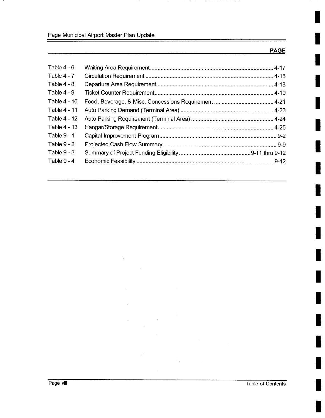| Table $4 - 6$       |  |
|---------------------|--|
| Table $4 - 7$       |  |
| Table $4 - 8$       |  |
| Table $4 - 9$       |  |
| <b>Table 4 - 10</b> |  |
| Table 4 - 11        |  |
| <b>Table 4 - 12</b> |  |
| <b>Table 4 - 13</b> |  |
| Table $9 - 1$       |  |
| Table $9 - 2$       |  |
| Table $9 - 3$       |  |
| Table $9 - 4$       |  |
|                     |  |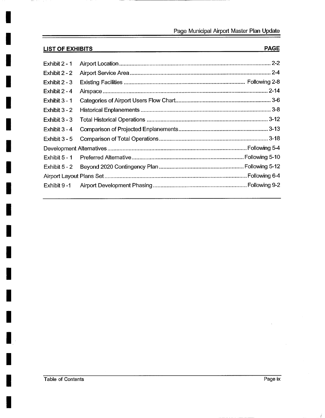# **LIST OF EXHIBITS**

**I** 

 $-\!-\!$ 

**I** 

**I** 

**!** 

**!** 

**I** 

**I** 

**I** 

**I** 

**I** 

**I** 

**I** 

**I** 

**I** 

**I** 

**I** 

**I** 

**I** 

| Exhibit 2 - 1   |  | $2 - 2$ |
|-----------------|--|---------|
| Exhibit 2 - 2   |  |         |
| Exhibit $2 - 3$ |  |         |
| Exhibit 2 - 4   |  |         |
| Exhibit $3 - 1$ |  |         |
| Exhibit $3 - 2$ |  |         |
| Exhibit $3 - 3$ |  |         |
| Exhibit $3 - 4$ |  |         |
| Exhibit 3 - 5   |  |         |
|                 |  |         |
| Exhibit $5 - 1$ |  |         |
| Exhibit 5 - 2   |  |         |
|                 |  |         |
| Exhibit 9 -1    |  |         |
|                 |  |         |